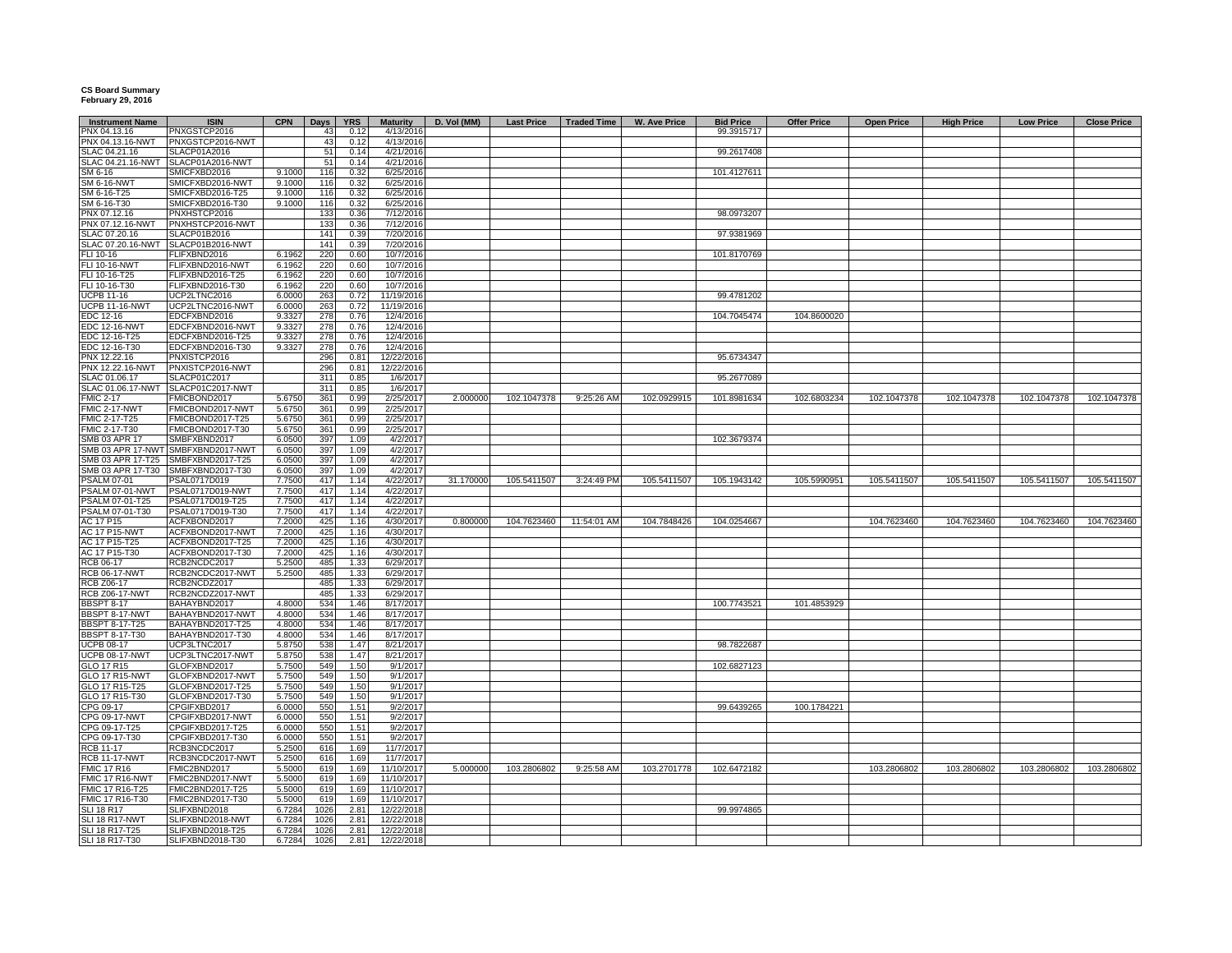## **CS Board Summary February 29, 2016**

| <b>Instrument Name</b>                         | <b>ISIN</b>                          | CPN              | <b>Days</b> | <b>YRS</b>   | <b>Maturity</b>          | D. Vol (MM) | <b>Last Price</b> | Traded Time | W. Ave Price | <b>Bid Price</b> | <b>Offer Price</b> | <b>Open Price</b> | <b>High Price</b> | <b>Low Price</b> | <b>Close Price</b> |
|------------------------------------------------|--------------------------------------|------------------|-------------|--------------|--------------------------|-------------|-------------------|-------------|--------------|------------------|--------------------|-------------------|-------------------|------------------|--------------------|
| PNX 04.13.16                                   | PNXGSTCP2016                         |                  | 43          | 0.12         | 4/13/2016                |             |                   |             |              | 99.3915717       |                    |                   |                   |                  |                    |
| PNX 04.13.16-NWT                               | PNXGSTCP2016-NWT                     |                  | 43          | 0.12         | 4/13/2016                |             |                   |             |              |                  |                    |                   |                   |                  |                    |
| SLAC 04.21.16                                  | SLACP01A2016                         |                  | 51          | 0.14         | 4/21/2016                |             |                   |             |              | 99.2617408       |                    |                   |                   |                  |                    |
| SLAC 04.21.16-NWT                              | SLACP01A2016-NWT                     |                  | 51          | 0.14         | 4/21/2016                |             |                   |             |              |                  |                    |                   |                   |                  |                    |
| SM 6-16                                        | SMICFXBD2016                         | 9.100            | 116         | 0.32         | 6/25/2016                |             |                   |             |              | 101.4127611      |                    |                   |                   |                  |                    |
| <b>SM 6-16-NWT</b>                             | SMICFXBD2016-NWT                     | 9.1000           | 116         | 0.32         | 6/25/2016                |             |                   |             |              |                  |                    |                   |                   |                  |                    |
| SM 6-16-T25                                    | SMICFXBD2016-T25                     | 9.1000           | 116         | 0.32         | 6/25/2016                |             |                   |             |              |                  |                    |                   |                   |                  |                    |
| SM 6-16-T30                                    | SMICFXBD2016-T30                     | 9.1000           | 116         | 0.32         | 6/25/2016                |             |                   |             |              |                  |                    |                   |                   |                  |                    |
| PNX 07.12.16                                   | PNXHSTCP2016                         |                  | 133         | 0.36         | 7/12/2016                |             |                   |             |              | 98.0973207       |                    |                   |                   |                  |                    |
| PNX 07.12.16-NWT                               | PNXHSTCP2016-NWT                     |                  | 133         | 0.36         | 7/12/2016                |             |                   |             |              |                  |                    |                   |                   |                  |                    |
| SLAC 07.20.16                                  | SLACP01B2016                         |                  | 141         | 0.39         | 7/20/2016                |             |                   |             |              | 97.9381969       |                    |                   |                   |                  |                    |
| SLAC 07.20.16-NWT                              | SLACP01B2016-NWT                     |                  | 141         | 0.39         | 7/20/2016                |             |                   |             |              |                  |                    |                   |                   |                  |                    |
| FLI 10-16<br><b>FLI 10-16-NWT</b>              | FLIFXBND2016<br>FLIFXBND2016-NWT     | 6.1962<br>6.1962 | 220         | 0.60<br>0.60 | 10/7/2016<br>10/7/2016   |             |                   |             |              | 101.8170769      |                    |                   |                   |                  |                    |
| FLI 10-16-T25                                  | FLIFXBND2016-T25                     | 6.1962           | 220<br>220  | 0.60         | 10/7/2016                |             |                   |             |              |                  |                    |                   |                   |                  |                    |
| FLI 10-16-T30                                  | FLIFXBND2016-T30                     | 6.1962           | 220         | 0.60         | 10/7/2016                |             |                   |             |              |                  |                    |                   |                   |                  |                    |
| <b>UCPB 11-16</b>                              | UCP2LTNC2016                         | 6.0000           | 263         | 0.72         | 11/19/2016               |             |                   |             |              | 99.4781202       |                    |                   |                   |                  |                    |
| <b>UCPB 11-16-NWT</b>                          | UCP2LTNC2016-NWT                     | 6.0000           | 263         | 0.72         | 11/19/2016               |             |                   |             |              |                  |                    |                   |                   |                  |                    |
| EDC 12-16                                      | EDCFXBND2016                         | 9.3327           | 278         | 0.76         | 12/4/2016                |             |                   |             |              | 104.7045474      | 104.8600020        |                   |                   |                  |                    |
| <b>EDC 12-16-NWT</b>                           | EDCFXBND2016-NWT                     | 9.3327           | 278         | 0.76         | 12/4/2016                |             |                   |             |              |                  |                    |                   |                   |                  |                    |
| EDC 12-16-T25                                  | EDCFXBND2016-T25                     | 9.3327           | 278         | 0.76         | 12/4/2016                |             |                   |             |              |                  |                    |                   |                   |                  |                    |
| EDC 12-16-T30                                  | EDCFXBND2016-T30                     | 9.3327           | 278         | 0.76         | 12/4/2016                |             |                   |             |              |                  |                    |                   |                   |                  |                    |
| PNX 12.22.16                                   | PNXISTCP2016                         |                  | 296         | 0.81         | 12/22/2016               |             |                   |             |              | 95.6734347       |                    |                   |                   |                  |                    |
| PNX 12.22.16-NWT                               | PNXISTCP2016-NWT                     |                  | 296         | 0.81         | 12/22/2016               |             |                   |             |              |                  |                    |                   |                   |                  |                    |
| SLAC 01.06.17                                  | SLACP01C2017                         |                  | 311         | 0.85         | 1/6/2017                 |             |                   |             |              | 95.2677089       |                    |                   |                   |                  |                    |
| SLAC 01.06.17-NWT                              | SLACP01C2017-NWT                     |                  | 311         | 0.85         | 1/6/2017                 |             |                   |             |              |                  |                    |                   |                   |                  |                    |
| <b>FMIC 2-17</b>                               | FMICBOND2017                         | 5.6750           | 361         | 0.99         | 2/25/2017                | 2.000000    | 102.1047378       | 9:25:26 AM  | 102.0929915  | 101.8981634      | 102.6803234        | 102.1047378       | 102.1047378       | 102.1047378      | 102.1047378        |
| FMIC 2-17-NWT                                  | FMICBOND2017-NWT                     | 5.6750           | 361         | 0.99         | 2/25/2017                |             |                   |             |              |                  |                    |                   |                   |                  |                    |
| FMIC 2-17-T25                                  | FMICBOND2017-T25                     | 5.6750           | 361         | 0.99         | 2/25/2017                |             |                   |             |              |                  |                    |                   |                   |                  |                    |
| FMIC 2-17-T30                                  | FMICBOND2017-T30                     | 5.6750           | 361         | 0.99         | 2/25/2017                |             |                   |             |              |                  |                    |                   |                   |                  |                    |
| <b>SMB 03 APR 17</b>                           | SMBFXBND2017                         | 6.0500           | 397         | 1.09         | 4/2/2017                 |             |                   |             |              | 102.3679374      |                    |                   |                   |                  |                    |
| SMB 03 APR 17-NWT                              | SMBFXBND2017-NWT                     | 6.0500           | 397<br>397  | 1.09         | 4/2/2017                 |             |                   |             |              |                  |                    |                   |                   |                  |                    |
| SMB 03 APR 17-T25                              | SMBFXBND2017-T25                     | 6.0500           | 397         | 1.09         | 4/2/2017                 |             |                   |             |              |                  |                    |                   |                   |                  |                    |
| SMB 03 APR 17-T30<br>SALM 07-01                | SMBFXBND2017-T30<br>PSAL0717D019     | 6.0500<br>7.7500 | 417         | 1.09<br>1.14 | 4/2/2017<br>4/22/2017    | 31.170000   | 105.5411507       | 3:24:49 PM  | 105.5411507  | 105.1943142      | 105.5990951        | 105.5411507       | 105.5411507       | 105.5411507      | 105.5411507        |
| SALM 07-01-NWT                                 | PSAL0717D019-NWT                     | 7.7500           | 417         | 1.14         | 4/22/2017                |             |                   |             |              |                  |                    |                   |                   |                  |                    |
| PSALM 07-01-T25                                | PSAL0717D019-T25                     | 7.7500           | 417         | 1.14         | 4/22/2017                |             |                   |             |              |                  |                    |                   |                   |                  |                    |
| PSALM 07-01-T30                                | PSAL0717D019-T30                     | 7.7500           | 417         | 1.14         | 4/22/2017                |             |                   |             |              |                  |                    |                   |                   |                  |                    |
| AC 17 P15                                      | ACFXBOND2017                         | 7.2000           | 425         | 1.16         | 4/30/2017                | 0.800000    | 104.7623460       | 11:54:01 AM | 104.7848426  | 104.0254667      |                    | 104.7623460       | 104.7623460       | 104.7623460      | 104.7623460        |
| <b>AC 17 P15-NWT</b>                           | ACFXBOND2017-NWT                     | 7.200            | 425         | 1.16         | 4/30/2017                |             |                   |             |              |                  |                    |                   |                   |                  |                    |
| AC 17 P15-T25                                  | ACFXBOND2017-T25                     | 7.200            | 425         | 1.16         | 4/30/2017                |             |                   |             |              |                  |                    |                   |                   |                  |                    |
| AC 17 P15-T30                                  | ACFXBOND2017-T30                     | 7.2000           | 425         | 1.16         | 4/30/2017                |             |                   |             |              |                  |                    |                   |                   |                  |                    |
| RCB 06-17                                      | RCB2NCDC2017                         | 5.2500           | 485         | 1.33         | 6/29/2017                |             |                   |             |              |                  |                    |                   |                   |                  |                    |
| <b>RCB 06-17-NWT</b>                           | RCB2NCDC2017-NWT                     | 5.2500           | 485         | 1.33         | 6/29/2017                |             |                   |             |              |                  |                    |                   |                   |                  |                    |
| RCB Z06-17                                     | RCB2NCDZ2017                         |                  | 485         | 1.33         | 6/29/2017                |             |                   |             |              |                  |                    |                   |                   |                  |                    |
| <b>RCB Z06-17-NWT</b>                          | RCB2NCDZ2017-NWT                     |                  | 485         | 1.33         | 6/29/2017                |             |                   |             |              |                  |                    |                   |                   |                  |                    |
| <b>BBSPT 8-17</b>                              | BAHAYBND2017                         | 4.800            | 534         | 1.46         | 8/17/2017                |             |                   |             |              | 100.7743521      | 101.4853929        |                   |                   |                  |                    |
| BBSPT 8-17-NWT                                 | BAHAYBND2017-NWT                     | 4.8000           | 534         | 1.46         | 8/17/2017                |             |                   |             |              |                  |                    |                   |                   |                  |                    |
| <b>BBSPT 8-17-T25</b><br><b>BBSPT 8-17-T30</b> | BAHAYBND2017-T25<br>BAHAYBND2017-T30 | 4.8000<br>4.8000 | 534<br>534  | 1.46<br>1.46 | 8/17/2017<br>8/17/2017   |             |                   |             |              |                  |                    |                   |                   |                  |                    |
| <b>UCPB 08-17</b>                              | UCP3LTNC2017                         | 5.8750           | 538         | 1.47         | 8/21/2017                |             |                   |             |              | 98.7822687       |                    |                   |                   |                  |                    |
| <b>UCPB 08-17-NWT</b>                          | UCP3LTNC2017-NWT                     | 5.8750           | 538         | 1.47         | 8/21/2017                |             |                   |             |              |                  |                    |                   |                   |                  |                    |
| GLO 17 R15                                     | GLOFXBND2017                         | 5.7500           | 549         | 1.50         | 9/1/2017                 |             |                   |             |              | 102.6827123      |                    |                   |                   |                  |                    |
| <b>GLO 17 R15-NWT</b>                          | GLOFXBND2017-NWT                     | 5.7500           | 549         | 1.50         | 9/1/2017                 |             |                   |             |              |                  |                    |                   |                   |                  |                    |
| GLO 17 R15-T25                                 | GLOFXBND2017-T25                     | 5.7500           | 549         | 1.50         | 9/1/2017                 |             |                   |             |              |                  |                    |                   |                   |                  |                    |
| GLO 17 R15-T30                                 | GLOFXBND2017-T30                     | 5.7500           | 549         | 1.50         | 9/1/2017                 |             |                   |             |              |                  |                    |                   |                   |                  |                    |
| CPG 09-17                                      | CPGIFXBD2017                         | 6.0000           | 550         | 1.51         | 9/2/2017                 |             |                   |             |              | 99.6439265       | 100.1784221        |                   |                   |                  |                    |
| CPG 09-17-NWT                                  | CPGIFXBD2017-NWT                     | 6.0000           | 550         | 1.51         | 9/2/2017                 |             |                   |             |              |                  |                    |                   |                   |                  |                    |
| CPG 09-17-T25                                  | CPGIFXBD2017-T25                     | 6.000            | 550         | 1.51         | 9/2/2017                 |             |                   |             |              |                  |                    |                   |                   |                  |                    |
| CPG 09-17-T30                                  | CPGIFXBD2017-T30                     | 6.0000           | 550         | 1.51         | 9/2/2017                 |             |                   |             |              |                  |                    |                   |                   |                  |                    |
| <b>RCB 11-17</b>                               | RCB3NCDC2017                         | 5.2500           | 616         | 1.69         | 11/7/2017                |             |                   |             |              |                  |                    |                   |                   |                  |                    |
| <b>RCB 11-17-NWT</b>                           | RCB3NCDC2017-NWT                     | 5.2500           | 616         | 1.69         | 11/7/2017                |             |                   |             |              |                  |                    |                   |                   |                  |                    |
| <b>FMIC 17 R16</b>                             | FMIC2BND2017                         | 5.5000           | 619         | 1.69         | 11/10/2017               | 5.000000    | 103.2806802       | 9:25:58 AM  | 103.2701778  | 102.6472182      |                    | 103.2806802       | 103.2806802       | 103.2806802      | 103.2806802        |
| FMIC 17 R16-NWT<br>FMIC 17 R16-T25             | FMIC2BND2017-NWT<br>FMIC2BND2017-T25 | 5.5000<br>5.5000 | 619<br>619  | 1.69<br>1.69 | 11/10/2017               |             |                   |             |              |                  |                    |                   |                   |                  |                    |
| FMIC 17 R16-T30                                | FMIC2BND2017-T30                     | 5.5000           | 619         | 1.69         | 11/10/2017<br>11/10/2017 |             |                   |             |              |                  |                    |                   |                   |                  |                    |
| <b>SLI 18 R17</b>                              | SLIFXBND2018                         | 6.7284           | 1026        | 2.81         | 12/22/2018               |             |                   |             |              | 99.9974865       |                    |                   |                   |                  |                    |
| SLI 18 R17-NWT                                 | SLIFXBND2018-NWT                     | 6.7284           | 1026        | 2.81         | 12/22/2018               |             |                   |             |              |                  |                    |                   |                   |                  |                    |
| SLI 18 R17-T25                                 | SLIFXBND2018-T25                     | 6.7284           | 1026        | 2.81         | 12/22/2018               |             |                   |             |              |                  |                    |                   |                   |                  |                    |
| SLI 18 R17-T30                                 | SLIFXBND2018-T30                     | 6.7284           | 1026        | 2.81         | 12/22/2018               |             |                   |             |              |                  |                    |                   |                   |                  |                    |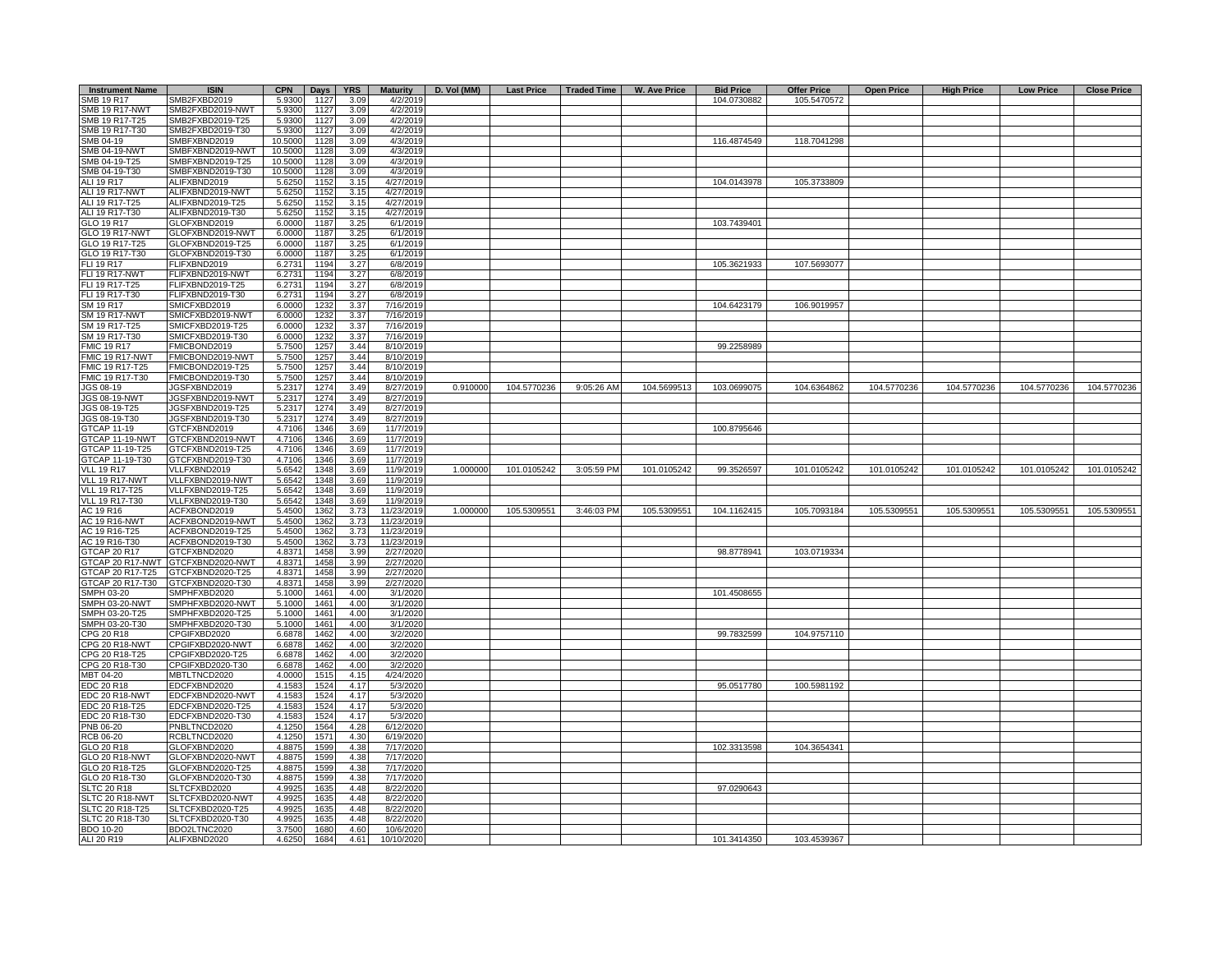| <b>Instrument Name</b>             | <b>ISIN</b>                          | <b>CPN</b>        | Days         | <b>YRS</b>   | <b>Maturity</b>         | D. Vol (MM) |             |            | Last Price   Traded Time   W. Ave Price | <b>Bid Price</b> | <b>Offer Price</b> | <b>Open Price</b> | <b>High Price</b> | <b>Low Price</b> | <b>Close Price</b> |
|------------------------------------|--------------------------------------|-------------------|--------------|--------------|-------------------------|-------------|-------------|------------|-----------------------------------------|------------------|--------------------|-------------------|-------------------|------------------|--------------------|
| SMB 19 R17                         | SMB2FXBD2019                         | 5.9300            | 1127         | 3.09         | 4/2/2019                |             |             |            |                                         | 104.0730882      | 105.5470572        |                   |                   |                  |                    |
| <b>SMB 19 R17-NWT</b>              | SMB2FXBD2019-NWT                     | 5.9300            | 1127         | 3.09         | 4/2/2019                |             |             |            |                                         |                  |                    |                   |                   |                  |                    |
| SMB 19 R17-T25                     | SMB2FXBD2019-T25                     | 5.9300            | 1127         | 3.09         | 4/2/2019                |             |             |            |                                         |                  |                    |                   |                   |                  |                    |
| SMB 19 R17-T30                     | SMB2FXBD2019-T30                     | 5.9300            | 1127         | 3.09         | 4/2/2019                |             |             |            |                                         |                  |                    |                   |                   |                  |                    |
| SMB 04-19                          | SMBFXBND2019                         | 10.5000           | 1128         | 3.09         | 4/3/2019                |             |             |            |                                         | 116.4874549      | 118.7041298        |                   |                   |                  |                    |
| <b>SMB 04-19-NWT</b>               | SMBFXBND2019-NWT                     | 10.5000           | 1128         | 3.09         | 4/3/2019                |             |             |            |                                         |                  |                    |                   |                   |                  |                    |
| SMB 04-19-T25<br>SMB 04-19-T30     | SMBFXBND2019-T25<br>SMBFXBND2019-T30 | 10.5000           | 1128         | 3.09<br>3.09 | 4/3/2019                |             |             |            |                                         |                  |                    |                   |                   |                  |                    |
| ALI 19 R17                         | ALIFXBND2019                         | 10.5000<br>5.6250 | 1128<br>1152 | 3.15         | 4/3/2019<br>4/27/2019   |             |             |            |                                         | 104.0143978      | 105.3733809        |                   |                   |                  |                    |
| ALI 19 R17-NWT                     | ALIFXBND2019-NWT                     | 5.6250            | 1152         | 3.15         | 4/27/2019               |             |             |            |                                         |                  |                    |                   |                   |                  |                    |
| ALI 19 R17-T25                     | ALIFXBND2019-T25                     | 5.6250            | 1152         | 3.15         | 4/27/2019               |             |             |            |                                         |                  |                    |                   |                   |                  |                    |
| ALI 19 R17-T30                     | ALIFXBND2019-T30                     | 5.6250            | 1152         | 3.15         | 4/27/2019               |             |             |            |                                         |                  |                    |                   |                   |                  |                    |
| GLO 19 R17                         | GLOFXBND2019                         | 6.0000            | 1187         | 3.25         | 6/1/2019                |             |             |            |                                         | 103.7439401      |                    |                   |                   |                  |                    |
| GLO 19 R17-NWT                     | GLOFXBND2019-NWT                     | 6.0000            | 1187         | 3.25         | 6/1/2019                |             |             |            |                                         |                  |                    |                   |                   |                  |                    |
| GLO 19 R17-T25                     | GLOFXBND2019-T25                     | 6.0000            | 1187         | 3.25         | 6/1/2019                |             |             |            |                                         |                  |                    |                   |                   |                  |                    |
| GLO 19 R17-T30                     | GLOFXBND2019-T30                     | 6.0000            | 1187         | 3.25         | 6/1/2019                |             |             |            |                                         |                  |                    |                   |                   |                  |                    |
| FLI 19 R17                         | FLIFXBND2019                         | 6.2731            | 1194         | 3.27         | 6/8/2019                |             |             |            |                                         | 105.3621933      | 107.5693077        |                   |                   |                  |                    |
| FLI 19 R17-NWT                     | FLIFXBND2019-NWT                     | 6.2731            | 1194         | 3.27         | 6/8/2019                |             |             |            |                                         |                  |                    |                   |                   |                  |                    |
| FLI 19 R17-T25<br>FLI 19 R17-T30   | FLIFXBND2019-T25<br>FLIFXBND2019-T30 | 6.2731<br>6.2731  | 1194<br>1194 | 3.27<br>3.27 | 6/8/2019<br>6/8/2019    |             |             |            |                                         |                  |                    |                   |                   |                  |                    |
| SM 19 R17                          | SMICFXBD2019                         | 6.0000            | 1232         | 3.37         | 7/16/2019               |             |             |            |                                         | 104.6423179      | 106.9019957        |                   |                   |                  |                    |
| <b>SM 19 R17-NWT</b>               | SMICFXBD2019-NWT                     | 6.0000            | 1232         | 3.37         | 7/16/2019               |             |             |            |                                         |                  |                    |                   |                   |                  |                    |
| SM 19 R17-T25                      | SMICFXBD2019-T25                     | 6.0000            | 1232         | 3.37         | 7/16/2019               |             |             |            |                                         |                  |                    |                   |                   |                  |                    |
| SM 19 R17-T30                      | SMICFXBD2019-T30                     | 6.0000            | 1232         | 3.37         | 7/16/2019               |             |             |            |                                         |                  |                    |                   |                   |                  |                    |
| <b>FMIC 19 R17</b>                 | FMICBOND2019                         | 5.7500            | 1257         | 3.44         | 8/10/2019               |             |             |            |                                         | 99.2258989       |                    |                   |                   |                  |                    |
| FMIC 19 R17-NWT                    | FMICBOND2019-NWT                     | 5.7500            | 125          | 3.44         | 8/10/2019               |             |             |            |                                         |                  |                    |                   |                   |                  |                    |
| FMIC 19 R17-T25                    | FMICBOND2019-T25                     | 5.7500            | 1257         | 3.44         | 8/10/2019               |             |             |            |                                         |                  |                    |                   |                   |                  |                    |
| FMIC 19 R17-T30                    | FMICBOND2019-T30                     | 5.7500            | 125          | 3.44         | 8/10/2019               |             |             |            |                                         |                  |                    |                   |                   |                  |                    |
| JGS 08-19                          | JGSFXBND2019                         | 5.2317            | 1274         | 3.49         | 8/27/2019               | 0.910000    | 104.5770236 | 9:05:26 AM | 104.5699513                             | 103.0699075      | 104.6364862        | 104.5770236       | 104.5770236       | 104.5770236      | 104.5770236        |
| JGS 08-19-NWT                      | JGSFXBND2019-NWT                     | 5.2317            | 1274         | 3.49         | 8/27/2019               |             |             |            |                                         |                  |                    |                   |                   |                  |                    |
| JGS 08-19-T25<br>JGS 08-19-T30     | JGSFXBND2019-T25<br>JGSFXBND2019-T30 | 5.2317<br>5.2317  | 1274<br>1274 | 3.49<br>3.49 | 8/27/2019<br>8/27/2019  |             |             |            |                                         |                  |                    |                   |                   |                  |                    |
| GTCAP 11-19                        | GTCFXBND2019                         | 4.7106            | 1346         | 3.69         | 11/7/2019               |             |             |            |                                         | 100.8795646      |                    |                   |                   |                  |                    |
| GTCAP 11-19-NWT                    | GTCFXBND2019-NWT                     | 4.7106            | 1346         | 3.69         | 11/7/2019               |             |             |            |                                         |                  |                    |                   |                   |                  |                    |
| GTCAP 11-19-T25                    | GTCFXBND2019-T25                     | 4.7106            | 1346         | 3.69         | 11/7/2019               |             |             |            |                                         |                  |                    |                   |                   |                  |                    |
| GTCAP 11-19-T30                    | GTCFXBND2019-T30                     | 4.7106            | 1346         | 3.69         | 11/7/2019               |             |             |            |                                         |                  |                    |                   |                   |                  |                    |
| <b>VLL 19 R17</b>                  | VLLFXBND2019                         | 5.6542            | 1348         | 3.69         | 11/9/2019               | 1.000000    | 101.0105242 | 3:05:59 PM | 101.0105242                             | 99.3526597       | 101.0105242        | 101.0105242       | 101.0105242       | 101.0105242      | 101.0105242        |
| VLL 19 R17-NWT                     | VLLFXBND2019-NWT                     | 5.6542            | 1348         | 3.69         | 11/9/2019               |             |             |            |                                         |                  |                    |                   |                   |                  |                    |
| <b>VLL 19 R17-T25</b>              | VLLFXBND2019-T25                     | 5.6542            | 1348         | 3.69         | 11/9/2019               |             |             |            |                                         |                  |                    |                   |                   |                  |                    |
| VLL 19 R17-T30<br>AC 19 R16        | VLLFXBND2019-T30<br>ACFXBOND2019     | 5.6542<br>5.4500  | 1348         | 3.69<br>3.73 | 11/9/2019<br>11/23/2019 | 1.000000    | 105.5309551 | 3:46:03 PM | 105.5309551                             | 104.1162415      | 105.7093184        | 105.5309551       | 105.5309551       | 105.5309551      | 105.5309551        |
| <b>AC 19 R16-NWT</b>               | ACFXBOND2019-NWT                     | 5.4500            | 1362<br>1362 | 3.73         | 11/23/2019              |             |             |            |                                         |                  |                    |                   |                   |                  |                    |
| AC 19 R16-T25                      | ACFXBOND2019-T25                     | 5.4500            | 1362         | 3.73         | 11/23/2019              |             |             |            |                                         |                  |                    |                   |                   |                  |                    |
| AC 19 R16-T30                      | ACFXBOND2019-T30                     | 5.4500            | 1362         | 3.73         | 11/23/2019              |             |             |            |                                         |                  |                    |                   |                   |                  |                    |
| GTCAP 20 R17                       | GTCFXBND2020                         | 4.8371            | 1458         | 3.99         | 2/27/2020               |             |             |            |                                         | 98.8778941       | 103.0719334        |                   |                   |                  |                    |
| GTCAP 20 R17-NWT                   | GTCFXBND2020-NWT                     | 4.8371            | 1458         | 3.99         | 2/27/2020               |             |             |            |                                         |                  |                    |                   |                   |                  |                    |
| GTCAP 20 R17-T25                   | GTCFXBND2020-T25                     | 4.8371            | 1458         | 3.99         | 2/27/2020               |             |             |            |                                         |                  |                    |                   |                   |                  |                    |
| GTCAP 20 R17-T30                   | GTCFXBND2020-T30                     | 4.8371            | 1458         | 3.99         | 2/27/2020               |             |             |            |                                         |                  |                    |                   |                   |                  |                    |
| SMPH 03-20                         | SMPHFXBD2020                         | 5.1000            | 1461         | 4.00         | 3/1/2020                |             |             |            |                                         | 101.4508655      |                    |                   |                   |                  |                    |
| SMPH 03-20-NWT<br>SMPH 03-20-T25   | SMPHFXBD2020-NWT<br>SMPHFXBD2020-T25 | 5.1000<br>5.1000  | 1461<br>1461 | 4.00<br>4.00 | 3/1/2020<br>3/1/2020    |             |             |            |                                         |                  |                    |                   |                   |                  |                    |
| SMPH 03-20-T30                     | SMPHFXBD2020-T30                     | 5.1000            | 1461         | 4.00         | 3/1/2020                |             |             |            |                                         |                  |                    |                   |                   |                  |                    |
| CPG 20 R18                         | CPGIFXBD2020                         | 6.6878            | 1462         | 4.00         | 3/2/2020                |             |             |            |                                         | 99.7832599       | 104.9757110        |                   |                   |                  |                    |
| <b>CPG 20 R18-NWT</b>              | CPGIFXBD2020-NWT                     | 6.6878            | 1462         | 4.00         | 3/2/2020                |             |             |            |                                         |                  |                    |                   |                   |                  |                    |
| CPG 20 R18-T25                     | CPGIFXBD2020-T25                     | 6.6878            | 1462         | 4.00         | 3/2/2020                |             |             |            |                                         |                  |                    |                   |                   |                  |                    |
| CPG 20 R18-T30                     | CPGIFXBD2020-T30                     | 6.6878            | 1462         | 4.00         | 3/2/2020                |             |             |            |                                         |                  |                    |                   |                   |                  |                    |
| MBT 04-20                          | MBTLTNCD2020                         | 4.0000            | 1515         | 4.15         | 4/24/2020               |             |             |            |                                         |                  |                    |                   |                   |                  |                    |
| EDC 20 R18                         | EDCFXBND2020                         | 4.1583            | 1524         | 4.17         | 5/3/2020                |             |             |            |                                         | 95.0517780       | 100.5981192        |                   |                   |                  |                    |
| EDC 20 R18-NWT<br>EDC 20 R18-T25   | EDCFXBND2020-NWT<br>EDCFXBND2020-T25 | 4.1583<br>4.1583  | 1524<br>1524 | 4.17<br>4.17 | 5/3/2020<br>5/3/2020    |             |             |            |                                         |                  |                    |                   |                   |                  |                    |
| EDC 20 R18-T30                     | EDCFXBND2020-T30                     | 4.1583            | 1524         | 4.17         | 5/3/2020                |             |             |            |                                         |                  |                    |                   |                   |                  |                    |
| PNB 06-20                          | PNBLTNCD2020                         | 4.1250            | 1564         | 4.28         | 6/12/2020               |             |             |            |                                         |                  |                    |                   |                   |                  |                    |
| RCB 06-20                          | RCBLTNCD2020                         | 4.1250            | 1571         | 4.30         | 6/19/2020               |             |             |            |                                         |                  |                    |                   |                   |                  |                    |
| GLO 20 R18                         | GLOFXBND2020                         | 4.8875            | 1599         | 4.38         | 7/17/2020               |             |             |            |                                         | 102.3313598      | 104.3654341        |                   |                   |                  |                    |
| GLO 20 R18-NWT                     | GLOFXBND2020-NWT                     | 4.8875            | 1599         | 4.38         | 7/17/2020               |             |             |            |                                         |                  |                    |                   |                   |                  |                    |
| GLO 20 R18-T25                     | GLOFXBND2020-T25                     | 4.8875            | 1599         | 4.38         | 7/17/2020               |             |             |            |                                         |                  |                    |                   |                   |                  |                    |
| GLO 20 R18-T30                     | GLOFXBND2020-T30                     | 4.8875            | 1599         | 4.38         | 7/17/2020               |             |             |            |                                         |                  |                    |                   |                   |                  |                    |
| <b>SLTC 20 R18</b>                 | SLTCFXBD2020                         | 4.9925            | 1635         | 4.48         | 8/22/2020               |             |             |            |                                         | 97.0290643       |                    |                   |                   |                  |                    |
| SLTC 20 R18-NWT<br>SLTC 20 R18-T25 | SLTCFXBD2020-NWT<br>SLTCFXBD2020-T25 | 4.9925<br>4.9925  | 1635<br>1635 | 4.48<br>4.48 | 8/22/2020<br>8/22/2020  |             |             |            |                                         |                  |                    |                   |                   |                  |                    |
| SLTC 20 R18-T30                    | SLTCFXBD2020-T30                     | 4.9925            | 1635         | 4.48         | 8/22/2020               |             |             |            |                                         |                  |                    |                   |                   |                  |                    |
| <b>BDO 10-20</b>                   | BDO2LTNC2020                         | 3.7500            | 1680         | 4.60         | 10/6/2020               |             |             |            |                                         |                  |                    |                   |                   |                  |                    |
| ALI 20 R19                         | ALIFXBND2020                         | 4.6250            | 1684         | 4.61         | 10/10/2020              |             |             |            |                                         | 101.3414350      | 103.4539367        |                   |                   |                  |                    |
|                                    |                                      |                   |              |              |                         |             |             |            |                                         |                  |                    |                   |                   |                  |                    |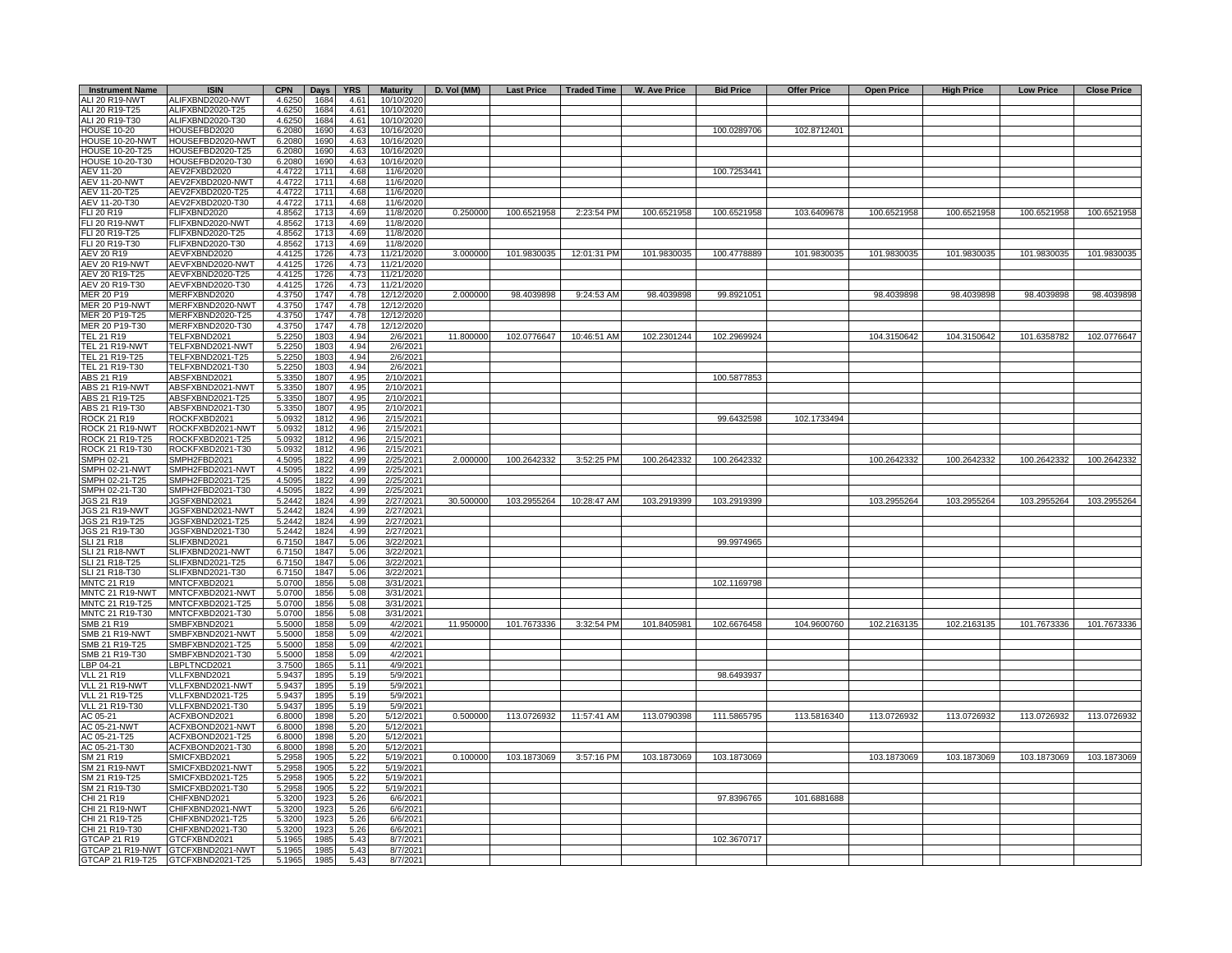| <b>Instrument Name</b>                  | <b>ISIN</b>                          | <b>CPN</b>       | <b>Days</b>  | <b>YRS</b>            | <b>Maturity</b>          |           |             |                          | D. Vol (MM)   Last Price   Traded Time   W. Ave Price | <b>Bid Price</b> | <b>Offer Price</b> | <b>Open Price</b> | <b>High Price</b> | <b>Low Price</b> | <b>Close Price</b> |
|-----------------------------------------|--------------------------------------|------------------|--------------|-----------------------|--------------------------|-----------|-------------|--------------------------|-------------------------------------------------------|------------------|--------------------|-------------------|-------------------|------------------|--------------------|
| ALI 20 R19-NWT                          | ALIFXBND2020-NWT                     | 4.6250           | 1684         | 4.61                  | 10/10/2020               |           |             |                          |                                                       |                  |                    |                   |                   |                  |                    |
| ALI 20 R19-T25<br>ALI 20 R19-T30        | ALIFXBND2020-T25<br>ALIFXBND2020-T30 | 4.6250<br>4.6250 | 1684<br>1684 | 4.61<br>4.61          | 10/10/2020<br>10/10/2020 |           |             |                          |                                                       |                  |                    |                   |                   |                  |                    |
| HOUSE 10-20                             | HOUSEFBD2020                         | 6.2080           | 1690         | 4.63                  | 10/16/2020               |           |             |                          |                                                       | 100.0289706      | 102.8712401        |                   |                   |                  |                    |
| OUSE 10-20-NWT                          | HOUSEFBD2020-NWT                     | 6.2080           | 1690         | 4.63                  | 10/16/2020               |           |             |                          |                                                       |                  |                    |                   |                   |                  |                    |
| <b>IOUSE 10-20-T25</b>                  | HOUSEFBD2020-T25                     | 6.2080           | 1690         | 4.63                  | 10/16/2020               |           |             |                          |                                                       |                  |                    |                   |                   |                  |                    |
| <b>IOUSE 10-20-T30</b>                  | HOUSEFBD2020-T30                     | 6.2080           | 1690         | 4.63                  | 10/16/2020               |           |             |                          |                                                       |                  |                    |                   |                   |                  |                    |
| AEV 11-20                               | AEV2FXBD2020                         | 4.4722           | 171'         | 4.68                  | 11/6/2020                |           |             |                          |                                                       | 100.7253441      |                    |                   |                   |                  |                    |
| <b>AEV 11-20-NWT</b><br>AEV 11-20-T25   | AEV2FXBD2020-NWT<br>AEV2FXBD2020-T25 | 4.4722<br>4.4722 | 1711<br>1711 | 4.68<br>4.68          | 11/6/2020<br>11/6/2020   |           |             |                          |                                                       |                  |                    |                   |                   |                  |                    |
| AEV 11-20-T30                           | AEV2FXBD2020-T30                     | 4.4722           | 1711         | 4.68                  | 11/6/2020                |           |             |                          |                                                       |                  |                    |                   |                   |                  |                    |
| FLI 20 R19                              | FLIFXBND2020                         | 4.8562           | 1713         | 4.69                  | 11/8/2020                | 0.250000  | 100.6521958 | 2:23:54 PM               | 100.6521958                                           | 100.6521958      | 103.6409678        | 100.6521958       | 100.6521958       | 100.6521958      | 100.6521958        |
| <b>LI 20 R19-NWT</b>                    | FLIFXBND2020-NWT                     | 4.8562           | 1713         | 4.69                  | 11/8/2020                |           |             |                          |                                                       |                  |                    |                   |                   |                  |                    |
| LI 20 R19-T25                           | FLIFXBND2020-T25                     | 4.8562           | 1713         | 4.69                  | 11/8/2020                |           |             |                          |                                                       |                  |                    |                   |                   |                  |                    |
| <b>LI 20 R19-T30</b>                    | FLIFXBND2020-T30                     | 4.8562           | 171          | 4.69                  | 11/8/2020                |           |             |                          |                                                       |                  |                    |                   |                   |                  |                    |
| <b>AEV 20 R19</b>                       | AEVFXBND2020<br>AEVFXBND2020-NWT     | 4.4125<br>4.4125 | 1726         | 4.73<br>$4.7^{\circ}$ | 11/21/2020               | 3.000000  | 101.9830035 | 12:01:31 PM              | 101.9830035                                           | 100.4778889      | 101.9830035        | 101.9830035       | 101.9830035       | 101.9830035      | 101.9830035        |
| AEV 20 R19-NWT<br>AEV 20 R19-T25        | AEVFXBND2020-T25                     | 4.4125           | 1726<br>1726 | 4.73                  | 11/21/2020<br>11/21/2020 |           |             |                          |                                                       |                  |                    |                   |                   |                  |                    |
| AEV 20 R19-T30                          | AEVFXBND2020-T30                     | 4.4125           | 1726         | 4.73                  | 11/21/2020               |           |             |                          |                                                       |                  |                    |                   |                   |                  |                    |
| MER 20 P19                              | MERFXBND2020                         | 4.3750           | 1747         | 4.78                  | 12/12/2020               | 2.000000  | 98.4039898  | 9:24:53 AM               | 98.4039898                                            | 99.8921051       |                    | 98.4039898        | 98.4039898        | 98.4039898       | 98.4039898         |
| <b>MER 20 P19-NWT</b>                   | MERFXBND2020-NWT                     | 4.3750           | 1747         | 4.78                  | 12/12/2020               |           |             |                          |                                                       |                  |                    |                   |                   |                  |                    |
| MER 20 P19-T25                          | MERFXBND2020-T25                     | 4.3750           | 1747         | 4.78                  | 12/12/2020               |           |             |                          |                                                       |                  |                    |                   |                   |                  |                    |
| MER 20 P19-T30                          | MERFXBND2020-T30                     | 4.3750           | 1747         | 4.78                  | 12/12/2020               |           |             |                          |                                                       |                  |                    |                   |                   |                  |                    |
| TEL 21 R19                              | TELFXBND2021                         | 5.2250           | 1803         | 4.94                  | 2/6/2021                 | 11.800000 |             | 102.0776647  10:46:51 AM | 102.2301244                                           | 102.2969924      |                    | 104.3150642       | 104.3150642       | 101.6358782      | 102.0776647        |
| <b>TEL 21 R19-NWT</b><br>TEL 21 R19-T25 | TELFXBND2021-NWT<br>TELFXBND2021-T25 | 5.2250<br>5.2250 | 1803<br>1803 | 4.94<br>4.94          | 2/6/2021<br>2/6/2021     |           |             |                          |                                                       |                  |                    |                   |                   |                  |                    |
| TEL 21 R19-T30                          | TELFXBND2021-T30                     | 5.2250           | 1803         | 4.94                  | 2/6/2021                 |           |             |                          |                                                       |                  |                    |                   |                   |                  |                    |
| ABS 21 R19                              | ABSFXBND2021                         | 5.3350           | 1807         | 4.95                  | 2/10/2021                |           |             |                          |                                                       | 100.5877853      |                    |                   |                   |                  |                    |
| ABS 21 R19-NWT                          | ABSFXBND2021-NWT                     | 5.3350           | 1807         | 4.95                  | 2/10/2021                |           |             |                          |                                                       |                  |                    |                   |                   |                  |                    |
| ABS 21 R19-T25                          | ABSFXBND2021-T25                     | 5.3350           | 1807         | 4.95                  | 2/10/2021                |           |             |                          |                                                       |                  |                    |                   |                   |                  |                    |
| ABS 21 R19-T30                          | ABSFXBND2021-T30                     | 5.3350           | 1807         | 4.95                  | 2/10/2021                |           |             |                          |                                                       |                  |                    |                   |                   |                  |                    |
| ROCK 21 R19<br>ROCK 21 R19-NWT          | ROCKFXBD2021<br>ROCKFXBD2021-NWT     | 5.0932           | 1812         | 4.96                  | 2/15/2021                |           |             |                          |                                                       | 99.6432598       | 102.1733494        |                   |                   |                  |                    |
| ROCK 21 R19-T25                         | ROCKFXBD2021-T25                     | 5.0932<br>5.0932 | 1812<br>1812 | 4.96<br>4.96          | 2/15/2021<br>2/15/2021   |           |             |                          |                                                       |                  |                    |                   |                   |                  |                    |
| ROCK 21 R19-T30                         | ROCKFXBD2021-T30                     | 5.093            | 181          | 4.96                  | 2/15/2021                |           |             |                          |                                                       |                  |                    |                   |                   |                  |                    |
| SMPH 02-21                              | SMPH2FBD2021                         | 4.5095           | 1822         | 4.99                  | 2/25/2021                | 2.000000  | 100.2642332 | 3:52:25 PM               | 100.2642332                                           | 100.2642332      |                    | 100.2642332       | 100.2642332       | 100.2642332      | 100.2642332        |
| SMPH 02-21-NWT                          | SMPH2FBD2021-NWT                     | 4.5095           | 1822         | 4.99                  | 2/25/2021                |           |             |                          |                                                       |                  |                    |                   |                   |                  |                    |
| SMPH 02-21-T25                          | SMPH2FBD2021-T25                     | 4.5095           | 1822         | 4.99                  | 2/25/2021                |           |             |                          |                                                       |                  |                    |                   |                   |                  |                    |
| SMPH 02-21-T30                          | SMPH2FBD2021-T30                     | 4.5095           | 1822         | 4.99                  | 2/25/2021                |           |             |                          |                                                       |                  |                    |                   |                   |                  |                    |
| IGS 21 R19<br>JGS 21 R19-NWT            | JGSFXBND2021<br>JGSFXBND2021-NWT     | 5.2442<br>5.2442 | 1824<br>1824 | 4.99<br>4.99          | 2/27/2021<br>2/27/2021   | 30.500000 | 103.2955264 | 10:28:47 AM              | 103.2919399                                           | 103.2919399      |                    | 103.2955264       | 103.2955264       | 103.2955264      | 103.2955264        |
| <b>IGS 21 R19-T25</b>                   | JGSFXBND2021-T25                     | 5.2442           | 1824         | 4.99                  | 2/27/2021                |           |             |                          |                                                       |                  |                    |                   |                   |                  |                    |
| IGS 21 R19-T30                          | JGSFXBND2021-T30                     | 5.2442           | 1824         | 4.99                  | 2/27/2021                |           |             |                          |                                                       |                  |                    |                   |                   |                  |                    |
| <b>SLI 21 R18</b>                       | SLIFXBND2021                         | 6.7150           | 1847         | 5.06                  | 3/22/2021                |           |             |                          |                                                       | 99.9974965       |                    |                   |                   |                  |                    |
| SLI 21 R18-NWT                          | SLIFXBND2021-NWT                     | 6.7150           | 1847         | 5.06                  | 3/22/2021                |           |             |                          |                                                       |                  |                    |                   |                   |                  |                    |
| SLI 21 R18-T25                          | SLIFXBND2021-T25                     | 6.7150           | 1847         | 5.06                  | 3/22/2021                |           |             |                          |                                                       |                  |                    |                   |                   |                  |                    |
| SLI 21 R18-T30<br><b>MNTC 21 R19</b>    | SLIFXBND2021-T30<br>MNTCFXBD2021     | 6.7150           | 1847         | 5.06                  | 3/22/2021                |           |             |                          |                                                       | 102.1169798      |                    |                   |                   |                  |                    |
| MNTC 21 R19-NWT                         | MNTCFXBD2021-NWT                     | 5.0700<br>5.0700 | 1856<br>1856 | 5.08<br>5.08          | 3/31/2021<br>3/31/2021   |           |             |                          |                                                       |                  |                    |                   |                   |                  |                    |
| MNTC 21 R19-T25                         | MNTCFXBD2021-T25                     | 5.0700           | 1856         | 5.08                  | 3/31/2021                |           |             |                          |                                                       |                  |                    |                   |                   |                  |                    |
| MNTC 21 R19-T30                         | MNTCFXBD2021-T30                     | 5.0700           | 1856         | 5.08                  | 3/31/2021                |           |             |                          |                                                       |                  |                    |                   |                   |                  |                    |
| SMB 21 R19                              | SMBFXBND2021                         | 5.5000           | 1858         | 5.09                  | 4/2/2021                 | 11.950000 | 101.7673336 | 3:32:54 PM               | 101.8405981                                           | 102.6676458      | 104.9600760        | 102.2163135       | 102.2163135       | 101.7673336      | 101.7673336        |
| <b>SMB 21 R19-NWT</b>                   | SMBFXBND2021-NWT                     | 5.5000           | 1858         | 5.09                  | 4/2/2021                 |           |             |                          |                                                       |                  |                    |                   |                   |                  |                    |
| SMB 21 R19-T25                          | SMBFXBND2021-T25                     | 5.5000           | 1858         | 5.09                  | 4/2/2021                 |           |             |                          |                                                       |                  |                    |                   |                   |                  |                    |
| SMB 21 R19-T30<br>LBP 04-21             | SMBFXBND2021-T30<br>LBPLTNCD2021     | 5.5000<br>3.7500 | 1858<br>1865 | 5.09<br>5.11          | 4/2/2021<br>4/9/2021     |           |             |                          |                                                       |                  |                    |                   |                   |                  |                    |
| <b>VLL 21 R19</b>                       | VLLFXBND2021                         | 5.9437           | 1895         | 5.19                  | 5/9/2021                 |           |             |                          |                                                       | 98.6493937       |                    |                   |                   |                  |                    |
| VLL 21 R19-NWT                          | VLLFXBND2021-NWT                     | 5.9437           | 1895         | 5.19                  | 5/9/2021                 |           |             |                          |                                                       |                  |                    |                   |                   |                  |                    |
| VLL 21 R19-T25                          | VLLFXBND2021-T25                     | 5.9437           | 1895         | 5.19                  | 5/9/2021                 |           |             |                          |                                                       |                  |                    |                   |                   |                  |                    |
| <b>VLL 21 R19-T30</b>                   | VLLFXBND2021-T30                     | 5.9437           | 1895         | 5.19                  | 5/9/2021                 |           |             |                          |                                                       |                  |                    |                   |                   |                  |                    |
| AC 05-21                                | ACFXBOND2021                         | 6.8000           | 1898         | 5.20                  | 5/12/2021                | 0.500000  | 113.0726932 | 11:57:41 AM              | 113.0790398                                           | 111.5865795      | 113.5816340        | 113.0726932       | 113.0726932       | 113.0726932      | 113.0726932        |
| AC 05-21-NWT<br>AC 05-21-T25            | ACFXBOND2021-NWT<br>ACFXBOND2021-T25 | 6.8000<br>6.8000 | 1898<br>1898 | 5.20<br>5.20          | 5/12/2021<br>5/12/2021   |           |             |                          |                                                       |                  |                    |                   |                   |                  |                    |
| AC 05-21-T30                            | ACFXBOND2021-T30                     | 6.8000           | 1898         | 5.20                  | 5/12/2021                |           |             |                          |                                                       |                  |                    |                   |                   |                  |                    |
| SM 21 R19                               | SMICFXBD2021                         | 5.2958           | 1905         | 5.22                  | 5/19/2021                | 0.100000  | 103.1873069 | 3:57:16 PM               | 103.1873069                                           | 103.1873069      |                    | 103.1873069       | 103.1873069       | 103.1873069      | 103.1873069        |
| <b>SM 21 R19-NWT</b>                    | SMICFXBD2021-NWT                     | 5.2958           | 1905         | 5.22                  | 5/19/2021                |           |             |                          |                                                       |                  |                    |                   |                   |                  |                    |
| SM 21 R19-T25                           | SMICFXBD2021-T25                     | 5.2958           | 1905         | 5.22                  | 5/19/2021                |           |             |                          |                                                       |                  |                    |                   |                   |                  |                    |
| SM 21 R19-T30                           | SMICFXBD2021-T30                     | 5.2958           | 1905         | 5.22                  | 5/19/2021                |           |             |                          |                                                       |                  |                    |                   |                   |                  |                    |
| CHI 21 R19<br><b>CHI 21 R19-NWT</b>     | CHIFXBND2021<br>CHIFXBND2021-NWT     | 5.3200<br>5.3200 | 1923<br>1923 | 5.26<br>5.26          | 6/6/2021<br>6/6/2021     |           |             |                          |                                                       | 97.8396765       | 101.6881688        |                   |                   |                  |                    |
| CHI 21 R19-T25                          | CHIFXBND2021-T25                     | 5.3200           | 1923         | 5.26                  | 6/6/2021                 |           |             |                          |                                                       |                  |                    |                   |                   |                  |                    |
| CHI 21 R19-T30                          | CHIFXBND2021-T30                     | 5.3200           | 1923         | 5.26                  | 6/6/2021                 |           |             |                          |                                                       |                  |                    |                   |                   |                  |                    |
| GTCAP 21 R19                            | GTCFXBND2021                         | 5.1965           | 1985         | 5.43                  | 8/7/2021                 |           |             |                          |                                                       | 102.3670717      |                    |                   |                   |                  |                    |
|                                         | GTCAP 21 R19-NWT GTCFXBND2021-NWT    | 5.1965           | 1985         | 5.43                  | 8/7/2021                 |           |             |                          |                                                       |                  |                    |                   |                   |                  |                    |
|                                         | GTCAP 21 R19-T25 GTCFXBND2021-T25    | 5.1965           | 1985         | 5.43                  | 8/7/2021                 |           |             |                          |                                                       |                  |                    |                   |                   |                  |                    |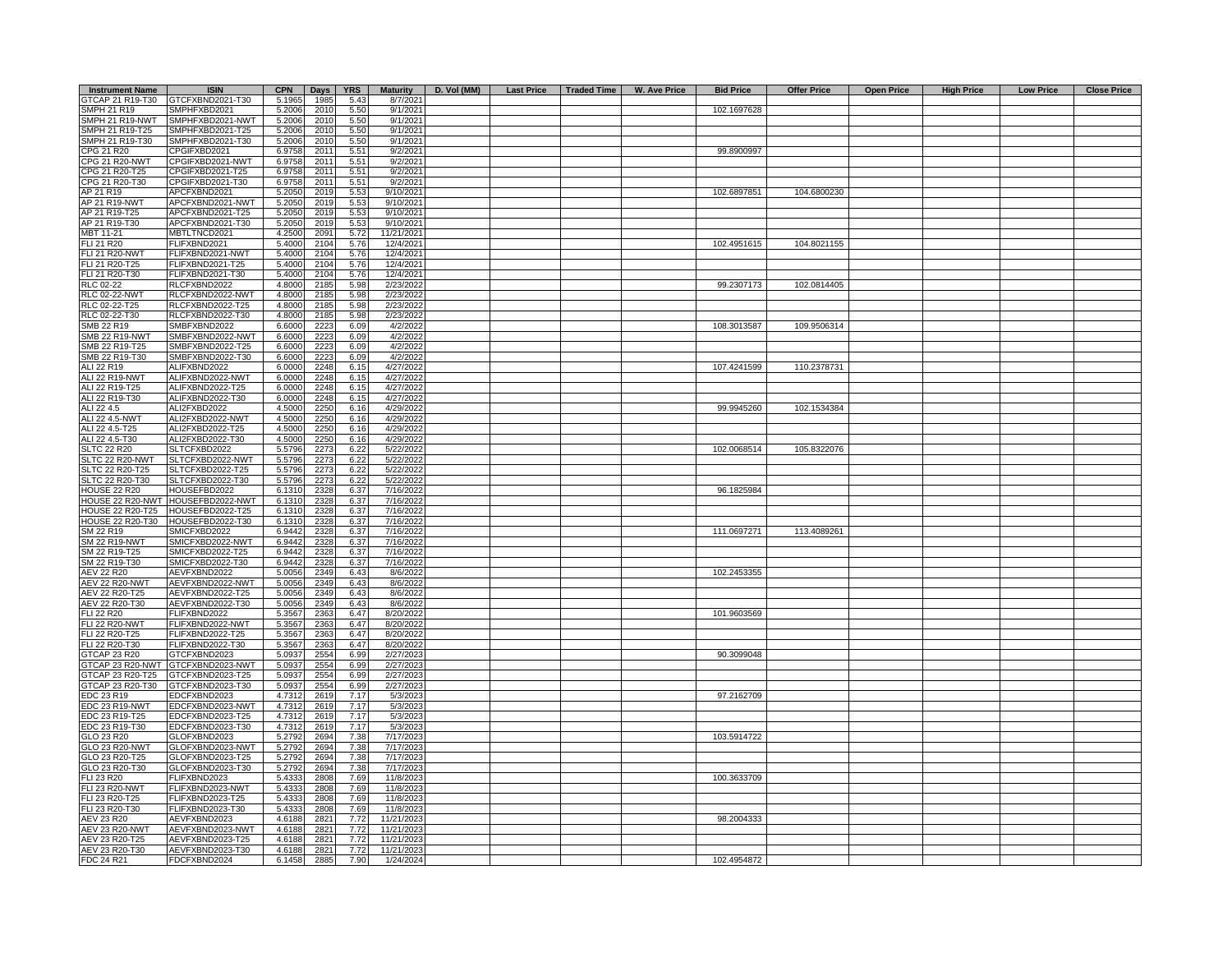| <b>Instrument Name</b>                     | <b>ISIN</b>                          | <b>CPN</b>       | Days         | YRS          | <b>Maturity</b>          | D. Vol (MM) |  | Last Price   Traded Time   W. Ave Price | <b>Bid Price</b> | <b>Offer Price</b> | Open Price | <b>High Price</b> | <b>Low Price</b> | <b>Close Price</b> |
|--------------------------------------------|--------------------------------------|------------------|--------------|--------------|--------------------------|-------------|--|-----------------------------------------|------------------|--------------------|------------|-------------------|------------------|--------------------|
| GTCAP 21 R19-T30                           | GTCFXBND2021-T30                     | 5.1965           | 1985         | 5.43         | 8/7/2021                 |             |  |                                         |                  |                    |            |                   |                  |                    |
| SMPH 21 R19                                | SMPHFXBD2021                         | 5.2006           | 2010         | 5.50         | 9/1/2021                 |             |  |                                         | 102.1697628      |                    |            |                   |                  |                    |
| SMPH 21 R19-NWT                            | SMPHFXBD2021-NWT                     | 5.2006           | 2010         | 5.50         | 9/1/2021                 |             |  |                                         |                  |                    |            |                   |                  |                    |
| SMPH 21 R19-T25                            | SMPHFXBD2021-T25                     | 5.2006           | 2010         | 5.50         | 9/1/2021                 |             |  |                                         |                  |                    |            |                   |                  |                    |
| SMPH 21 R19-T30<br>CPG 21 R20              | SMPHFXBD2021-T30<br>CPGIFXBD2021     | 5.2006<br>6.9758 | 2010<br>2011 | 5.50<br>5.51 | 9/1/2021<br>9/2/2021     |             |  |                                         | 99.8900997       |                    |            |                   |                  |                    |
| CPG 21 R20-NWT                             | CPGIFXBD2021-NWT                     | 6.9758           | 201          | 5.51         | 9/2/2021                 |             |  |                                         |                  |                    |            |                   |                  |                    |
| CPG 21 R20-T25                             | CPGIFXBD2021-T25                     | 6.9758           | 201          | 5.51         | 9/2/2021                 |             |  |                                         |                  |                    |            |                   |                  |                    |
| CPG 21 R20-T30                             | CPGIFXBD2021-T30                     | 6.9758           | 2011         | 5.51         | 9/2/2021                 |             |  |                                         |                  |                    |            |                   |                  |                    |
| AP 21 R19                                  | APCFXBND2021                         | 5.2050           | 2019         | 5.53         | 9/10/2021                |             |  |                                         | 102.6897851      | 104.6800230        |            |                   |                  |                    |
| AP 21 R19-NWT                              | APCFXBND2021-NWT                     | 5.2050           | 2019         | 5.53         | 9/10/2021                |             |  |                                         |                  |                    |            |                   |                  |                    |
| AP 21 R19-T25                              | APCFXBND2021-T25                     | 5.2050           | 2019         | 5.53         | 9/10/2021                |             |  |                                         |                  |                    |            |                   |                  |                    |
| AP 21 R19-T30                              | APCFXBND2021-T30                     | 5.2050           | 2019         | 5.53         | 9/10/2021                |             |  |                                         |                  |                    |            |                   |                  |                    |
| MBT 11-21                                  | MBTLTNCD2021                         | 4.2500           | 2091         | 5.72         | 11/21/2021               |             |  |                                         |                  |                    |            |                   |                  |                    |
| <b>FLI 21 R20</b><br><b>FLI 21 R20-NWT</b> | FLIFXBND2021<br>FLIFXBND2021-NWT     | 5.4000<br>5.4000 | 2104<br>2104 | 5.76<br>5.76 | 12/4/2021                |             |  |                                         | 102.4951615      | 104.8021155        |            |                   |                  |                    |
| FLI 21 R20-T25                             | FLIFXBND2021-T25                     | 5.4000           | 2104         | 5.76         | 12/4/2021<br>12/4/2021   |             |  |                                         |                  |                    |            |                   |                  |                    |
| FLI 21 R20-T30                             | FLIFXBND2021-T30                     | 5.4000           | 2104         | 5.76         | 12/4/2021                |             |  |                                         |                  |                    |            |                   |                  |                    |
| RLC 02-22                                  | RLCFXBND2022                         | 4.8000           | 2185         | 5.98         | 2/23/2022                |             |  |                                         | 99.2307173       | 102.0814405        |            |                   |                  |                    |
| <b>RLC 02-22-NWT</b>                       | RLCFXBND2022-NWT                     | 4.8000           | 2185         | 5.98         | 2/23/2022                |             |  |                                         |                  |                    |            |                   |                  |                    |
| RLC 02-22-T25                              | RLCFXBND2022-T25                     | 4.8000           | 2185         | 5.98         | 2/23/2022                |             |  |                                         |                  |                    |            |                   |                  |                    |
| RLC 02-22-T30                              | RLCFXBND2022-T30                     | 4.8000           | 2185         | 5.98         | 2/23/202                 |             |  |                                         |                  |                    |            |                   |                  |                    |
| SMB 22 R19                                 | SMBFXBND2022                         | 6.6000           | 2223         | 6.09         | 4/2/2022                 |             |  |                                         | 108.3013587      | 109.9506314        |            |                   |                  |                    |
| <b>SMB 22 R19-NWT</b>                      | SMBFXBND2022-NWT                     | 6.6000           | 2223         | 6.09         | 4/2/2022                 |             |  |                                         |                  |                    |            |                   |                  |                    |
| SMB 22 R19-T25<br>SMB 22 R19-T30           | SMBFXBND2022-T25<br>SMBFXBND2022-T30 | 6.6000           | 2223         | 6.09         | 4/2/2022                 |             |  |                                         |                  |                    |            |                   |                  |                    |
| ALI 22 R19                                 | ALIFXBND2022                         | 6.6000<br>6.0000 | 2223<br>2248 | 6.09<br>6.15 | 4/2/2022<br>4/27/2022    |             |  |                                         | 107.4241599      | 110.2378731        |            |                   |                  |                    |
| ALI 22 R19-NWT                             | ALIFXBND2022-NWT                     | 6.0000           | 2248         | 6.15         | 4/27/2022                |             |  |                                         |                  |                    |            |                   |                  |                    |
| ALI 22 R19-T25                             | ALIFXBND2022-T25                     | 6.0000           | 2248         | 6.15         | 4/27/2022                |             |  |                                         |                  |                    |            |                   |                  |                    |
| ALI 22 R19-T30                             | ALIFXBND2022-T30                     | 6.0000           | 2248         | 6.15         | 4/27/2022                |             |  |                                         |                  |                    |            |                   |                  |                    |
| ALI 22 4.5                                 | ALI2FXBD2022                         | 4.5000           | 2250         | 6.16         | 4/29/2022                |             |  |                                         | 99.9945260       | 102.1534384        |            |                   |                  |                    |
| ALI 22 4.5-NWT                             | ALI2FXBD2022-NWT                     | 4.5000           | 2250         | 6.16         | 4/29/2022                |             |  |                                         |                  |                    |            |                   |                  |                    |
| ALI 22 4.5-T25                             | ALI2FXBD2022-T25                     | 4.5000           | 2250         | 6.16         | 4/29/2022                |             |  |                                         |                  |                    |            |                   |                  |                    |
| ALI 22 4.5-T30                             | ALI2FXBD2022-T30                     | 4.5000           | 2250         | 6.16         | 4/29/2022                |             |  |                                         |                  |                    |            |                   |                  |                    |
| <b>SLTC 22 R20</b><br>SLTC 22 R20-NWT      | SLTCFXBD2022<br>SLTCFXBD2022-NWT     | 5.5796<br>5.5796 | 2273<br>2273 | 6.22<br>6.22 | 5/22/2022<br>5/22/2022   |             |  |                                         | 102.0068514      | 105.8322076        |            |                   |                  |                    |
| SLTC 22 R20-T25                            | SLTCFXBD2022-T25                     | 5.5796           | 2273         | 6.22         | 5/22/2022                |             |  |                                         |                  |                    |            |                   |                  |                    |
| SLTC 22 R20-T30                            | SLTCFXBD2022-T30                     | 5.5796           | 2273         | 6.22         | 5/22/2022                |             |  |                                         |                  |                    |            |                   |                  |                    |
| <b>HOUSE 22 R20</b>                        | HOUSEFBD2022                         | 6.1310           | 2328         | 6.37         | 7/16/2022                |             |  |                                         | 96.1825984       |                    |            |                   |                  |                    |
| HOUSE 22 R20-NWT                           | HOUSEFBD2022-NWT                     | 6.1310           | 2328         | 6.37         | 7/16/2022                |             |  |                                         |                  |                    |            |                   |                  |                    |
| <b>HOUSE 22 R20-T25</b>                    | HOUSEFBD2022-T25                     | 6.1310           | 2328         | 6.37         | 7/16/2022                |             |  |                                         |                  |                    |            |                   |                  |                    |
| HOUSE 22 R20-T30                           | HOUSEFBD2022-T30                     | 6.1310           | 2328         | 6.37         | 7/16/2022                |             |  |                                         |                  |                    |            |                   |                  |                    |
| SM 22 R19                                  | SMICFXBD2022                         | 6.9442           | 2328         | 6.37         | 7/16/2022                |             |  |                                         | 111.0697271      | 113.4089261        |            |                   |                  |                    |
| <b>SM 22 R19-NWT</b><br>SM 22 R19-T25      | SMICFXBD2022-NWT<br>SMICFXBD2022-T25 | 6.9442<br>6.9442 | 2328<br>2328 | 6.37<br>6.37 | 7/16/2022<br>7/16/2022   |             |  |                                         |                  |                    |            |                   |                  |                    |
| SM 22 R19-T30                              | SMICFXBD2022-T30                     | 6.9442           | 2328         | 6.37         | 7/16/2022                |             |  |                                         |                  |                    |            |                   |                  |                    |
| AEV 22 R20                                 | AEVFXBND2022                         | 5.0056           | 2349         | 6.43         | 8/6/2022                 |             |  |                                         | 102.2453355      |                    |            |                   |                  |                    |
| <b>AEV 22 R20-NWT</b>                      | AEVFXBND2022-NWT                     | 5.0056           | 2349         | 6.43         | 8/6/2022                 |             |  |                                         |                  |                    |            |                   |                  |                    |
| AEV 22 R20-T25                             | AEVFXBND2022-T25                     | 5.0056           | 2349         | 6.43         | 8/6/2022                 |             |  |                                         |                  |                    |            |                   |                  |                    |
| AEV 22 R20-T30                             | AEVFXBND2022-T30                     | 5.0056           | 2349         | 6.43         | 8/6/2022                 |             |  |                                         |                  |                    |            |                   |                  |                    |
| <b>FLI 22 R20</b>                          | FLIFXBND2022                         | 5.3567           | 2363         | 6.47         | 8/20/2022                |             |  |                                         | 101.9603569      |                    |            |                   |                  |                    |
| <b>FLI 22 R20-NWT</b>                      | FLIFXBND2022-NWT                     | 5.3567           | 2363         | 6.47         | 8/20/2022                |             |  |                                         |                  |                    |            |                   |                  |                    |
| FLI 22 R20-T25<br>FLI 22 R20-T30           | FLIFXBND2022-T25<br>FLIFXBND2022-T30 | 5.3567<br>5.3567 | 2363<br>2363 | 6.47<br>6.47 | 8/20/2022<br>8/20/2022   |             |  |                                         |                  |                    |            |                   |                  |                    |
| GTCAP 23 R20                               | GTCFXBND2023                         | 5.0937           | 2554         | 6.99         | 2/27/2023                |             |  |                                         | 90.3099048       |                    |            |                   |                  |                    |
| GTCAP 23 R20-NWT                           | GTCFXBND2023-NWT                     | 5.0937           | 2554         | 6.99         | 2/27/2023                |             |  |                                         |                  |                    |            |                   |                  |                    |
| GTCAP 23 R20-T25                           | GTCFXBND2023-T25                     | 5.0937           | 2554         | 6.99         | 2/27/2023                |             |  |                                         |                  |                    |            |                   |                  |                    |
| GTCAP 23 R20-T30                           | GTCFXBND2023-T30                     | 5.0937           | 2554         | 6.99         | 2/27/2023                |             |  |                                         |                  |                    |            |                   |                  |                    |
| EDC 23 R19                                 | EDCFXBND2023                         | 4.7312           | 2619         | 7.17         | 5/3/2023                 |             |  |                                         | 97.2162709       |                    |            |                   |                  |                    |
| EDC 23 R19-NWT                             | EDCFXBND2023-NWT                     | 4.7312           | 2619         | 7.17         | 5/3/2023                 |             |  |                                         |                  |                    |            |                   |                  |                    |
| EDC 23 R19-T25                             | DCFXBND2023-T25                      | 4.7312           | 2619         | 7.17         | 5/3/2023                 |             |  |                                         |                  |                    |            |                   |                  |                    |
| EDC 23 R19-T30<br>GLO 23 R20               | EDCFXBND2023-T30<br>GLOFXBND2023     | 4.7312<br>5.2792 | 2619<br>2694 | 7.17<br>7.38 | 5/3/2023<br>7/17/2023    |             |  |                                         |                  |                    |            |                   |                  |                    |
| GLO 23 R20-NWT                             | GLOFXBND2023-NWT                     | 5.2792           | 2694         | 7.38         | 7/17/2023                |             |  |                                         | 103.5914722      |                    |            |                   |                  |                    |
| GLO 23 R20-T25                             | GLOFXBND2023-T25                     | 5.2792           | 2694         | 7.38         | 7/17/2023                |             |  |                                         |                  |                    |            |                   |                  |                    |
| GLO 23 R20-T30                             | GLOFXBND2023-T30                     | 5.2792           | 2694         | 7.38         | 7/17/2023                |             |  |                                         |                  |                    |            |                   |                  |                    |
| FLI 23 R20                                 | FLIFXBND2023                         | 5.4333           | 2808         | 7.69         | 11/8/2023                |             |  |                                         | 100.3633709      |                    |            |                   |                  |                    |
| <b>FLI 23 R20-NWT</b>                      | FLIFXBND2023-NWT                     | 5.4333           | 2808         | 7.69         | 11/8/2023                |             |  |                                         |                  |                    |            |                   |                  |                    |
| FLI 23 R20-T25                             | FLIFXBND2023-T25                     | 5.4333           | 2808         | 7.69         | 11/8/2023                |             |  |                                         |                  |                    |            |                   |                  |                    |
| FLI 23 R20-T30                             | FLIFXBND2023-T30                     | 5.4333           | 2808         | 7.69         | 11/8/2023                |             |  |                                         |                  |                    |            |                   |                  |                    |
| AEV 23 R20                                 | AEVFXBND2023                         | 4.6188           | 2821         | 7.72         | 11/21/2023               |             |  |                                         | 98.2004333       |                    |            |                   |                  |                    |
| AEV 23 R20-NWT<br>AEV 23 R20-T25           | AEVFXBND2023-NWT<br>AEVFXBND2023-T25 | 4.6188<br>4.6188 | 282'<br>2821 | 7.72<br>7.72 | 11/21/2023<br>11/21/2023 |             |  |                                         |                  |                    |            |                   |                  |                    |
| AEV 23 R20-T30                             | AEVFXBND2023-T30                     | 4.6188           | 2821         | 7.72         | 11/21/2023               |             |  |                                         |                  |                    |            |                   |                  |                    |
| FDC 24 R21                                 | FDCFXBND2024                         | 6.1458           | 2885         | 7.90         | 1/24/2024                |             |  |                                         | 102.4954872      |                    |            |                   |                  |                    |
|                                            |                                      |                  |              |              |                          |             |  |                                         |                  |                    |            |                   |                  |                    |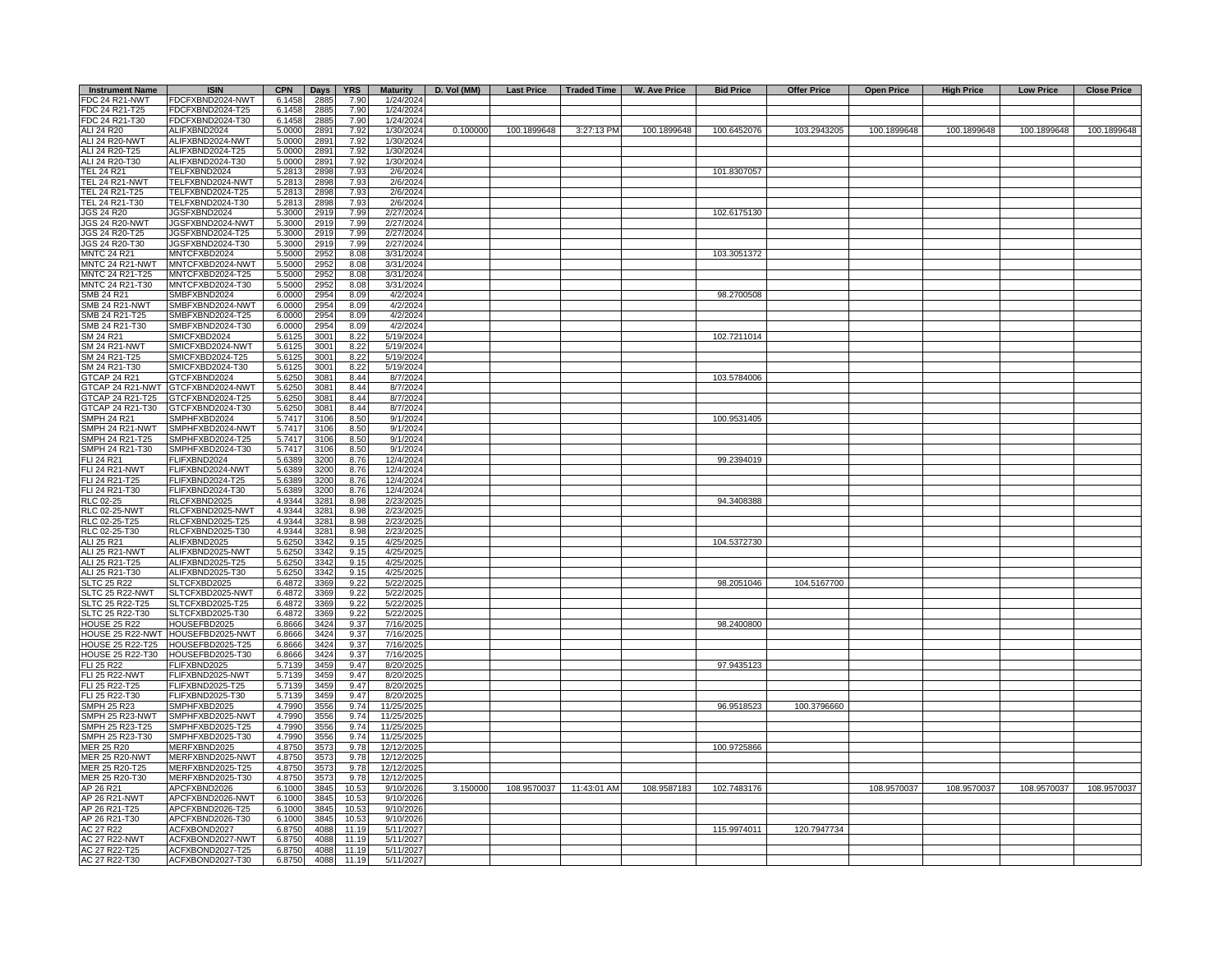| <b>Instrument Name</b>                             | <b>ISIN</b>                          | <b>CPN</b>       | Days             | <b>YRS</b>   | <b>Maturity</b>          | D. Vol (MM) | <b>Last Price</b> | Traded Time | <b>W. Ave Price</b> | <b>Bid Price</b> | <b>Offer Price</b> | <b>Open Price</b> | <b>High Price</b> | <b>Low Price</b> | <b>Close Price</b> |
|----------------------------------------------------|--------------------------------------|------------------|------------------|--------------|--------------------------|-------------|-------------------|-------------|---------------------|------------------|--------------------|-------------------|-------------------|------------------|--------------------|
| <b>FDC 24 R21-NWT</b>                              | FDCFXBND2024-NWT                     | 6.1458           | 2885             | 7.90         | 1/24/2024                |             |                   |             |                     |                  |                    |                   |                   |                  |                    |
| FDC 24 R21-T25                                     | FDCFXBND2024-T25                     | 6.1458           | 2885             | 7.90         | 1/24/2024                |             |                   |             |                     |                  |                    |                   |                   |                  |                    |
| FDC 24 R21-T30                                     | FDCFXBND2024-T30                     | 6.1458           | 2885             | 7.90         | 1/24/2024                |             |                   |             |                     |                  |                    |                   |                   |                  |                    |
| ALI 24 R20                                         | ALIFXBND2024                         | 5.0000           | 2891             | 7.92         | 1/30/2024                | 0.100000    | 100.1899648       | 3:27:13 PM  | 100.1899648         | 100.6452076      | 103.2943205        | 100.1899648       | 100.1899648       | 100.1899648      | 100.1899648        |
| ALI 24 R20-NWT                                     | ALIFXBND2024-NWT                     | 5.0000           | 2891             | 7.92         | 1/30/2024                |             |                   |             |                     |                  |                    |                   |                   |                  |                    |
| ALI 24 R20-T25<br>ALI 24 R20-T30                   | ALIFXBND2024-T25<br>ALIFXBND2024-T30 | 5.0000<br>5.0000 | 2891<br>2891     | 7.92<br>7.92 | 1/30/2024<br>1/30/2024   |             |                   |             |                     |                  |                    |                   |                   |                  |                    |
| <b>TEL 24 R21</b>                                  | TELFXBND2024                         | 5.2813           | 2898             | 7.93         | 2/6/2024                 |             |                   |             |                     | 101.8307057      |                    |                   |                   |                  |                    |
| TEL 24 R21-NWT                                     | TELFXBND2024-NWT                     | 5.2813           | 2898             | 7.93         | 2/6/2024                 |             |                   |             |                     |                  |                    |                   |                   |                  |                    |
| TEL 24 R21-T25                                     | TELFXBND2024-T25                     | 5.2813           | 2898             | 7.93         | 2/6/2024                 |             |                   |             |                     |                  |                    |                   |                   |                  |                    |
| TEL 24 R21-T30                                     | TELFXBND2024-T30                     | 5.2813           | 2898             | 7.93         | 2/6/2024                 |             |                   |             |                     |                  |                    |                   |                   |                  |                    |
| JGS 24 R20                                         | JGSFXBND2024                         | 5.3000           | 2919             | 7.99         | 2/27/2024                |             |                   |             |                     | 102.6175130      |                    |                   |                   |                  |                    |
| <b>JGS 24 R20-NWT</b>                              | JGSFXBND2024-NWT                     | 5.3000           | 2919             | 7.99         | 2/27/2024                |             |                   |             |                     |                  |                    |                   |                   |                  |                    |
| JGS 24 R20-T25                                     | JGSFXBND2024-T25                     | 5.3000           | 2919             | 7.99         | 2/27/2024                |             |                   |             |                     |                  |                    |                   |                   |                  |                    |
| JGS 24 R20-T30                                     | JGSFXBND2024-T30                     | 5.3000           | 2919             | 7.99         | 2/27/2024                |             |                   |             |                     |                  |                    |                   |                   |                  |                    |
| <b>MNTC 24 R21</b>                                 | MNTCFXBD2024                         | 5.5000           | 2952             | 8.08         | 3/31/2024                |             |                   |             |                     | 103.3051372      |                    |                   |                   |                  |                    |
| MNTC 24 R21-NWT                                    | MNTCFXBD2024-NWT                     | 5.5000           | 2952             | 8.08         | 3/31/2024                |             |                   |             |                     |                  |                    |                   |                   |                  |                    |
| MNTC 24 R21-T25                                    | MNTCFXBD2024-T25                     | 5.5000<br>5.5000 | 2952             | 8.08         | 3/31/2024                |             |                   |             |                     |                  |                    |                   |                   |                  |                    |
| MNTC 24 R21-T30<br>SMB 24 R21                      | MNTCFXBD2024-T30<br>SMBFXBND2024     | 6.0000           | 2952<br>2954     | 8.08<br>8.09 | 3/31/2024<br>4/2/2024    |             |                   |             |                     | 98.2700508       |                    |                   |                   |                  |                    |
| <b>SMB 24 R21-NWT</b>                              | SMBFXBND2024-NWT                     | 6.0000           | 2954             | 8.09         | 4/2/2024                 |             |                   |             |                     |                  |                    |                   |                   |                  |                    |
| SMB 24 R21-T25                                     | SMBFXBND2024-T25                     | 6.0000           | 2954             | 8.09         | 4/2/2024                 |             |                   |             |                     |                  |                    |                   |                   |                  |                    |
| SMB 24 R21-T30                                     | SMBFXBND2024-T30                     | 6.0000           | 2954             | 8.09         | 4/2/2024                 |             |                   |             |                     |                  |                    |                   |                   |                  |                    |
| SM 24 R21                                          | SMICFXBD2024                         | 5.6125           | 300 <sub>1</sub> | 8.22         | 5/19/2024                |             |                   |             |                     | 102.7211014      |                    |                   |                   |                  |                    |
| <b>SM 24 R21-NWT</b>                               | SMICFXBD2024-NWT                     | 5.6125           | 3001             | 8.22         | 5/19/2024                |             |                   |             |                     |                  |                    |                   |                   |                  |                    |
| SM 24 R21-T25                                      | SMICFXBD2024-T25                     | 5.6125           | 300 <sup>4</sup> | 8.22         | 5/19/2024                |             |                   |             |                     |                  |                    |                   |                   |                  |                    |
| SM 24 R21-T30                                      | SMICFXBD2024-T30                     | 5.6125           | 3001             | 8.22         | 5/19/2024                |             |                   |             |                     |                  |                    |                   |                   |                  |                    |
| GTCAP 24 R21                                       | GTCFXBND2024                         | 5.6250           | 3081             | 8.44         | 8/7/2024                 |             |                   |             |                     | 103.5784006      |                    |                   |                   |                  |                    |
| GTCAP 24 R21-NWT                                   | GTCFXBND2024-NWT                     | 5.6250           | 3081             | 8.44         | 8/7/2024                 |             |                   |             |                     |                  |                    |                   |                   |                  |                    |
| GTCAP 24 R21-T25                                   | GTCFXBND2024-T25                     | 5.6250           | 3081             | 8.44         | 8/7/2024                 |             |                   |             |                     |                  |                    |                   |                   |                  |                    |
| GTCAP 24 R21-T30                                   | GTCFXBND2024-T30                     | 5.6250           | 3081             | 8.44         | 8/7/2024                 |             |                   |             |                     |                  |                    |                   |                   |                  |                    |
| <b>SMPH 24 R21</b><br>SMPH 24 R21-NWT              | SMPHFXBD2024                         | 5.7417           | 3106             | 8.50         | 9/1/2024                 |             |                   |             |                     | 100.9531405      |                    |                   |                   |                  |                    |
| SMPH 24 R21-T25                                    | SMPHFXBD2024-NWT<br>SMPHFXBD2024-T25 | 5.7417<br>5.7417 | 3106<br>3106     | 8.50<br>8.50 | 9/1/2024<br>9/1/2024     |             |                   |             |                     |                  |                    |                   |                   |                  |                    |
| SMPH 24 R21-T30                                    | SMPHFXBD2024-T30                     | 5.7417           | 3106             | 8.50         | 9/1/2024                 |             |                   |             |                     |                  |                    |                   |                   |                  |                    |
| <b>FLI 24 R21</b>                                  | FLIFXBND2024                         | 5.6389           | 3200             | 8.76         | 12/4/2024                |             |                   |             |                     | 99.2394019       |                    |                   |                   |                  |                    |
| <b>FLI 24 R21-NWT</b>                              | FLIFXBND2024-NWT                     | 5.6389           | 3200             | 8.76         | 12/4/2024                |             |                   |             |                     |                  |                    |                   |                   |                  |                    |
| FLI 24 R21-T25                                     | FLIFXBND2024-T25                     | 5.6389           | 3200             | 8.76         | 12/4/2024                |             |                   |             |                     |                  |                    |                   |                   |                  |                    |
| FLI 24 R21-T30                                     | FLIFXBND2024-T30                     | 5.6389           | 3200             | 8.76         | 12/4/2024                |             |                   |             |                     |                  |                    |                   |                   |                  |                    |
| RLC 02-25                                          | RLCFXBND2025                         | 4.9344           | 3281             | 8.98         | 2/23/2025                |             |                   |             |                     | 94.3408388       |                    |                   |                   |                  |                    |
| <b>RLC 02-25-NWT</b>                               | RLCFXBND2025-NWT                     | 4.9344           | 3281             | 8.98         | 2/23/2025                |             |                   |             |                     |                  |                    |                   |                   |                  |                    |
| RLC 02-25-T25                                      | RLCFXBND2025-T25                     | 4.9344           | 3281             | 8.98         | 2/23/2025                |             |                   |             |                     |                  |                    |                   |                   |                  |                    |
| RLC 02-25-T30<br>ALI 25 R21                        | RLCFXBND2025-T30                     | 4.9344           | 328'             | 8.98         | 2/23/2025                |             |                   |             |                     |                  |                    |                   |                   |                  |                    |
| ALI 25 R21-NWT                                     | ALIFXBND2025<br>ALIFXBND2025-NWT     | 5.6250<br>5.6250 | 3342<br>3342     | 9.15<br>9.15 | 4/25/2025<br>4/25/2025   |             |                   |             |                     | 104.5372730      |                    |                   |                   |                  |                    |
| ALI 25 R21-T25                                     | ALIFXBND2025-T25                     | 5.6250           | 3342             | 9.15         | 4/25/2025                |             |                   |             |                     |                  |                    |                   |                   |                  |                    |
| ALI 25 R21-T30                                     | ALIFXBND2025-T30                     | 5.6250           | 3342             | 9.15         | 4/25/2025                |             |                   |             |                     |                  |                    |                   |                   |                  |                    |
| <b>SLTC 25 R22</b>                                 | SLTCFXBD2025                         | 6.4872           | 3369             | 9.22         | 5/22/2025                |             |                   |             |                     | 98.2051046       | 104.5167700        |                   |                   |                  |                    |
| SLTC 25 R22-NWT                                    | SLTCFXBD2025-NWT                     | 6.4872           | 3369             | 9.22         | 5/22/2025                |             |                   |             |                     |                  |                    |                   |                   |                  |                    |
| SLTC 25 R22-T25                                    | SLTCFXBD2025-T25                     | 6.4872           | 3369             | 9.22         | 5/22/2025                |             |                   |             |                     |                  |                    |                   |                   |                  |                    |
| SLTC 25 R22-T30                                    | SLTCFXBD2025-T30                     | 6.4872           | 3369             | 9.22         | 5/22/2025                |             |                   |             |                     |                  |                    |                   |                   |                  |                    |
| <b>HOUSE 25 R22</b>                                | HOUSEFBD2025                         | 6.8666           | 3424             | 9.37         | 7/16/2025                |             |                   |             |                     | 98.2400800       |                    |                   |                   |                  |                    |
| HOUSE 25 R22-NWT                                   | HOUSEFBD2025-NWT                     | 6.8666           | 3424             | 9.37         | 7/16/2025                |             |                   |             |                     |                  |                    |                   |                   |                  |                    |
| <b>HOUSE 25 R22-T25</b><br><b>HOUSE 25 R22-T30</b> | HOUSEFBD2025-T25<br>HOUSEFBD2025-T30 | 6.8666           | 3424<br>3424     | 9.37<br>9.37 | 7/16/2025<br>7/16/2025   |             |                   |             |                     |                  |                    |                   |                   |                  |                    |
| <b>FLI 25 R22</b>                                  | FLIFXBND2025                         | 6.8666<br>5.7139 | 3459             | 9.47         | 8/20/2025                |             |                   |             |                     | 97.9435123       |                    |                   |                   |                  |                    |
| <b>FLI 25 R22-NWT</b>                              | FLIFXBND2025-NWT                     | 5.7139           | 3459             | 9.47         | 8/20/2025                |             |                   |             |                     |                  |                    |                   |                   |                  |                    |
| FLI 25 R22-T25                                     | FLIFXBND2025-T25                     | 5.7139           | 3459             | 9.47         | 8/20/2025                |             |                   |             |                     |                  |                    |                   |                   |                  |                    |
| FLI 25 R22-T30                                     | FLIFXBND2025-T30                     | 5.7139           | 3459             | 9.47         | 8/20/2025                |             |                   |             |                     |                  |                    |                   |                   |                  |                    |
| <b>SMPH 25 R23</b>                                 | SMPHFXBD2025                         | 4.7990           | 3556             | 9.74         | 11/25/2025               |             |                   |             |                     | 96.9518523       | 100.3796660        |                   |                   |                  |                    |
| SMPH 25 R23-NWT                                    | SMPHFXBD2025-NWT                     | 4.7990           | 3556             | 9.74         | 11/25/2025               |             |                   |             |                     |                  |                    |                   |                   |                  |                    |
| SMPH 25 R23-T25                                    | SMPHFXBD2025-T25                     | 4.7990           | 3556             | 9.74         | 11/25/2025               |             |                   |             |                     |                  |                    |                   |                   |                  |                    |
| SMPH 25 R23-T30                                    | SMPHFXBD2025-T30                     | 4.7990           | 3556             | 9.74         | 11/25/2025               |             |                   |             |                     |                  |                    |                   |                   |                  |                    |
| <b>MER 25 R20</b>                                  | MERFXBND2025                         | 4.8750           | 3573             | 9.78         | 12/12/2025               |             |                   |             |                     | 100.9725866      |                    |                   |                   |                  |                    |
| <b>MER 25 R20-NWT</b>                              | MERFXBND2025-NWT                     | 4.8750           | 3573             | 9.78         | 12/12/2025               |             |                   |             |                     |                  |                    |                   |                   |                  |                    |
| MER 25 R20-T25<br>MER 25 R20-T30                   | MERFXBND2025-T25<br>MERFXBND2025-T30 | 4.8750<br>4.8750 | 3573<br>3573     | 9.78<br>9.78 | 12/12/2025<br>12/12/2025 |             |                   |             |                     |                  |                    |                   |                   |                  |                    |
| AP 26 R21                                          | APCFXBND2026                         | 6.1000           | 3845             | 10.53        | 9/10/2026                | 3.150000    | 108.9570037       | 11:43:01 AM | 108.9587183         | 102.7483176      |                    | 108.9570037       | 108.9570037       | 108.9570037      | 108.9570037        |
| AP 26 R21-NWT                                      | APCFXBND2026-NWT                     | 6.1000           | 3845             | 10.53        | 9/10/2026                |             |                   |             |                     |                  |                    |                   |                   |                  |                    |
| AP 26 R21-T25                                      | APCFXBND2026-T25                     | 6.1000           | 3845             | 10.53        | 9/10/2026                |             |                   |             |                     |                  |                    |                   |                   |                  |                    |
| AP 26 R21-T30                                      | APCFXBND2026-T30                     | 6.1000           | 384              | 10.53        | 9/10/2026                |             |                   |             |                     |                  |                    |                   |                   |                  |                    |
| AC 27 R22                                          | ACFXBOND2027                         | 6.8750           | 4088             | 11.19        | 5/11/2027                |             |                   |             |                     | 115.9974011      | 120.7947734        |                   |                   |                  |                    |
| AC 27 R22-NW1                                      | ACFXBOND2027-NWT                     | 6.8750           | 4088             | 11.19        | 5/11/2027                |             |                   |             |                     |                  |                    |                   |                   |                  |                    |
| AC 27 R22-T25                                      | ACFXBOND2027-T25                     | 6.8750           | 4088             | 11.19        | 5/11/2027                |             |                   |             |                     |                  |                    |                   |                   |                  |                    |
| AC 27 R22-T30                                      | ACFXBOND2027-T30                     | 6.8750           | 4088             | 11.19        | 5/11/2027                |             |                   |             |                     |                  |                    |                   |                   |                  |                    |